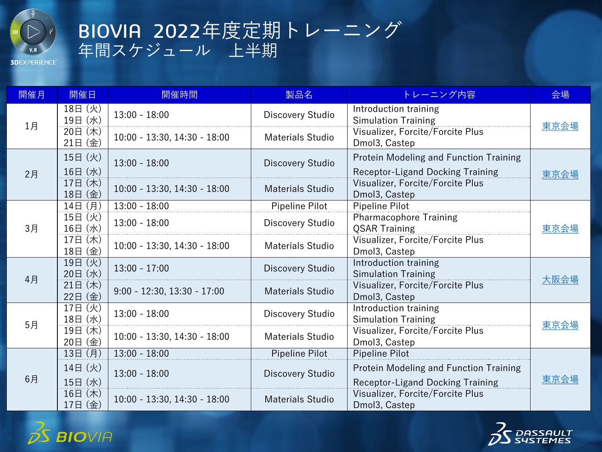

## BIOVIA 2022年度定期トレーニング 年間スケジュール 上半期

**3DEXPERIENCE** 

| 開催月    | 開催日                           | 開催時間                           | 製品名                     | トレーニング内容                                                                                     | 会場   |  |  |
|--------|-------------------------------|--------------------------------|-------------------------|----------------------------------------------------------------------------------------------|------|--|--|
| 1月     | 18日 (火)<br>19日 (水)            | $13:00 - 18:00$                | Discovery Studio        | Introduction training<br><b>Simulation Training</b>                                          | 東京会場 |  |  |
|        | 20日 (木)<br>21日(金)             | $10:00 - 13:30, 14:30 - 18:00$ | <b>Materials Studio</b> | Visualizer, Forcite/Forcite Plus<br>Dmol3, Castep                                            |      |  |  |
| 2月     | 15日 (火)<br>16日 (水)            | $13:00 - 18:00$                | Discovery Studio        | Protein Modeling and Function Training<br><b>Receptor-Ligand Docking Training</b>            |      |  |  |
|        | 17日 (木)<br>18日 (金)            | $10:00 - 13:30, 14:30 - 18:00$ | <b>Materials Studio</b> | Visualizer, Forcite/Forcite Plus<br>Dmol3, Castep                                            | 東京会場 |  |  |
| 3月     | 14日 (月)                       | $13:00 - 18:00$                | Pipeline Pilot          | Pipeline Pilot                                                                               |      |  |  |
|        | 15日 (火)<br>16日 (水)            | $13:00 - 18:00$                | Discovery Studio        | <b>Pharmacophore Training</b><br><b>QSAR Training</b>                                        | 東京会場 |  |  |
|        | 17日 (木)<br>18日 (金)            | $10:00 - 13:30, 14:30 - 18:00$ | <b>Materials Studio</b> | Visualizer, Forcite/Forcite Plus<br>Dmol3, Castep                                            |      |  |  |
| 4月     | 19日 (火)<br>20日 (水)            | $13:00 - 17:00$                | Discovery Studio        | Introduction training<br><b>Simulation Training</b>                                          | 大阪会場 |  |  |
|        | 21日 (木)<br>22日(金)             | $9:00 - 12:30, 13:30 - 17:00$  | <b>Materials Studio</b> | Visualizer, Forcite/Forcite Plus<br>Dmol3, Castep                                            |      |  |  |
| 5月     | 17日 (火)<br>18日 (水)            | $13:00 - 18:00$                | Discovery Studio        | Introduction training<br><b>Simulation Training</b>                                          | 東京会場 |  |  |
|        | 19日 (木)<br>20日 (金)            | $10:00 - 13:30, 14:30 - 18:00$ | Materials Studio        | Visualizer, Forcite/Forcite Plus<br>Dmol3, Castep                                            |      |  |  |
| 6月     | 13日 (月)                       | $13:00 - 18:00$                | Pipeline Pilot          | Pipeline Pilot                                                                               |      |  |  |
|        | 14日 (火)                       | $13:00 - 18:00$                | Discovery Studio        | Protein Modeling and Function Training                                                       | 東京会場 |  |  |
|        | 15日 (水)<br>16日 (木)<br>17日 (金) | $10:00 - 13:30, 14:30 - 18:00$ | <b>Materials Studio</b> | <b>Receptor-Ligand Docking Training</b><br>Visualizer, Forcite/Forcite Plus<br>Dmol3, Castep |      |  |  |
| BIOVIA |                               |                                |                         |                                                                                              |      |  |  |